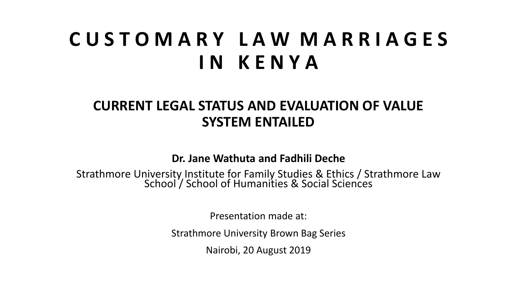#### **C U S T O M A R Y L A W M A R R I A G E S I N K E N Y A**

#### **CURRENT LEGAL STATUS AND EVALUATION OF VALUE SYSTEM ENTAILED**

**Dr. Jane Wathuta and Fadhili Deche**

Strathmore University Institute for Family Studies & Ethics / Strathmore Law School / School of Humanities & Social Sciences

Presentation made at:

Strathmore University Brown Bag Series

Nairobi, 20 August 2019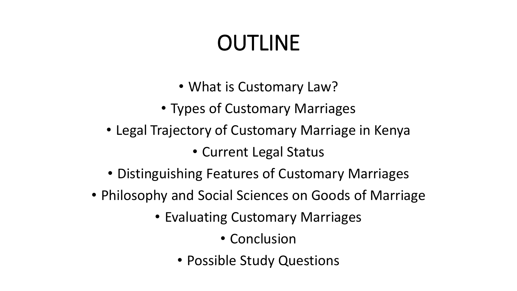# OUTLINE

- What is Customary Law?
- Types of Customary Marriages
- Legal Trajectory of Customary Marriage in Kenya

• Current Legal Status

- Distinguishing Features of Customary Marriages
- Philosophy and Social Sciences on Goods of Marriage
	- Evaluating Customary Marriages
		- Conclusion
		- Possible Study Questions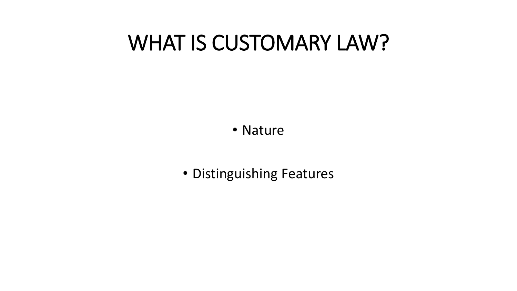#### WHAT IS CUSTOMARY LAW?

• Nature

• Distinguishing Features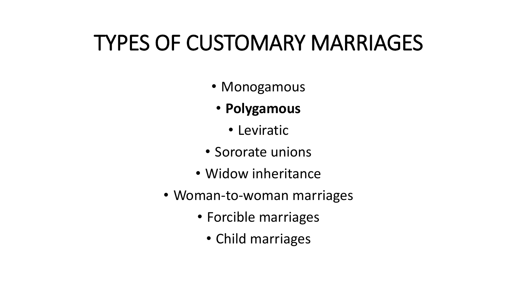### TYPES OF CUSTOMARY MARRIAGES

- Monogamous
	- **Polygamous**
		- Leviratic
- Sororate unions
- Widow inheritance
- Woman-to-woman marriages
	- Forcible marriages
		- Child marriages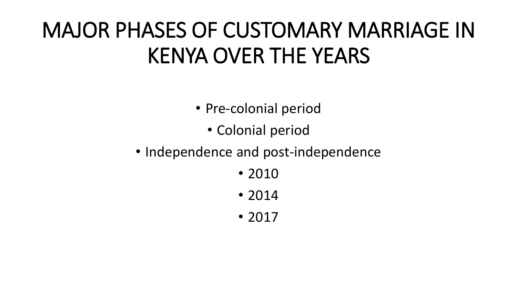## MAJOR PHASES OF CUSTOMARY MARRIAGE IN KENYA OVER THE YEARS

- Pre-colonial period
	- Colonial period
- Independence and post-independence
	- 2010
	- 2014
	- 2017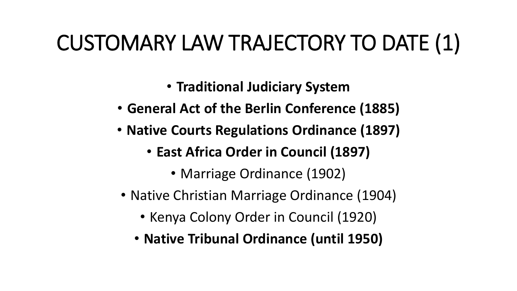## CUSTOMARY LAW TRAJECTORY TO DATE (1)

- **Traditional Judiciary System**
- **General Act of the Berlin Conference (1885)**
- **Native Courts Regulations Ordinance (1897)**
	- **East Africa Order in Council (1897)**
		- Marriage Ordinance (1902)
- Native Christian Marriage Ordinance (1904)
	- Kenya Colony Order in Council (1920)
	- **Native Tribunal Ordinance (until 1950)**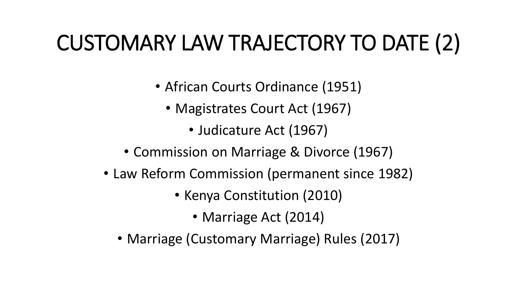## CUSTOMARY LAW TRAJECTORY TO DATE (2)

- African Courts Ordinance (1951)
	- Magistrates Court Act (1967)
		- Judicature Act (1967)
- Commission on Marriage & Divorce (1967)
- Law Reform Commission (permanent since 1982)
	- Kenya Constitution (2010)
		- Marriage Act (2014)
	- Marriage (Customary Marriage) Rules (2017)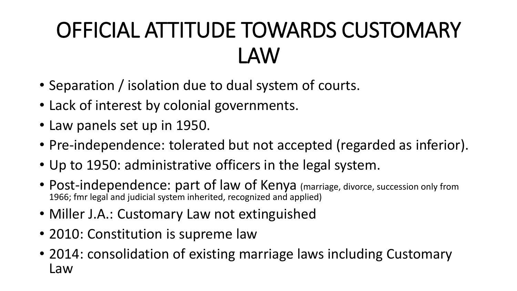# OFFICIAL ATTITUDE TOWARDS CUSTOMARY LAW

- Separation / isolation due to dual system of courts.
- Lack of interest by colonial governments.
- Law panels set up in 1950.
- Pre-independence: tolerated but not accepted (regarded as inferior).
- Up to 1950: administrative officers in the legal system.
- Post-independence: part of law of Kenya (marriage, divorce, succession only from 1966; fmr legal and judicial system inherited, recognized and applied)
- Miller J.A.: Customary Law not extinguished
- 2010: Constitution is supreme law
- 2014: consolidation of existing marriage laws including Customary Law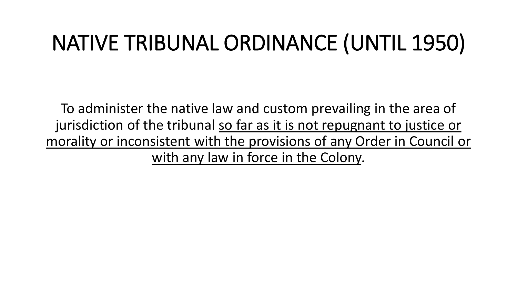## NATIVE TRIBUNAL ORDINANCE (UNTIL 1950)

To administer the native law and custom prevailing in the area of jurisdiction of the tribunal so far as it is not repugnant to justice or morality or inconsistent with the provisions of any Order in Council or with any law in force in the Colony.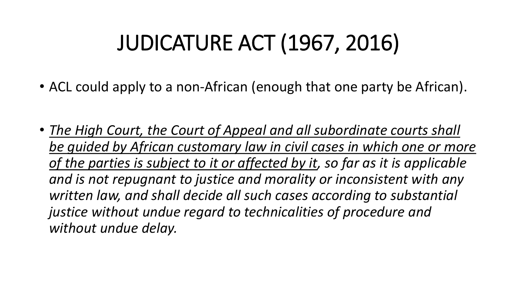## JUDICATURE ACT (1967, 2016)

- ACL could apply to a non-African (enough that one party be African).
- *The High Court, the Court of Appeal and all subordinate courts shall be guided by African customary law in civil cases in which one or more of the parties is subject to it or affected by it, so far as it is applicable and is not repugnant to justice and morality or inconsistent with any written law, and shall decide all such cases according to substantial justice without undue regard to technicalities of procedure and without undue delay.*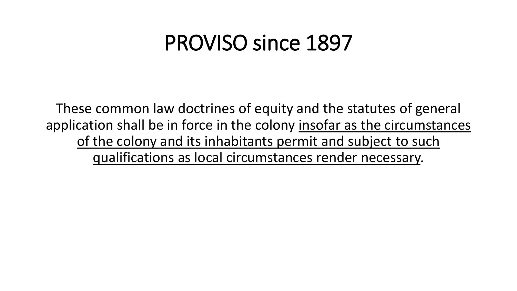#### PROVISO since 1897

These common law doctrines of equity and the statutes of general application shall be in force in the colony insofar as the circumstances of the colony and its inhabitants permit and subject to such qualifications as local circumstances render necessary.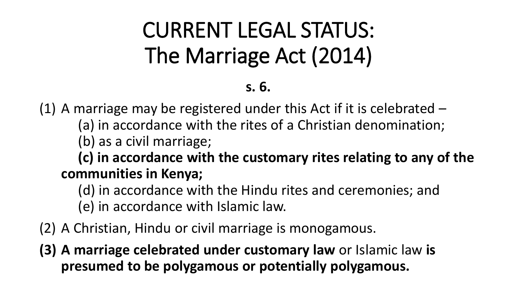# CURRENT LEGAL STATUS: The Marriage Act (2014)

#### **s. 6.**

(1) A marriage may be registered under this Act if it is celebrated  $-$ (a) in accordance with the rites of a Christian denomination;

(b) as a civil marriage;

**(c) in accordance with the customary rites relating to any of the communities in Kenya;**

(d) in accordance with the Hindu rites and ceremonies; and (e) in accordance with Islamic law.

- (2) A Christian, Hindu or civil marriage is monogamous.
- **(3) A marriage celebrated under customary law** or Islamic law **is presumed to be polygamous or potentially polygamous.**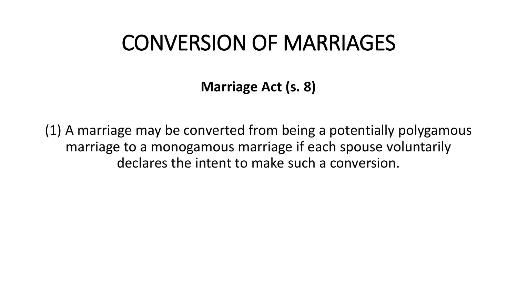#### CONVERSION OF MARRIAGES

**Marriage Act (s. 8)**

(1) A marriage may be converted from being a potentially polygamous marriage to a monogamous marriage if each spouse voluntarily declares the intent to make such a conversion.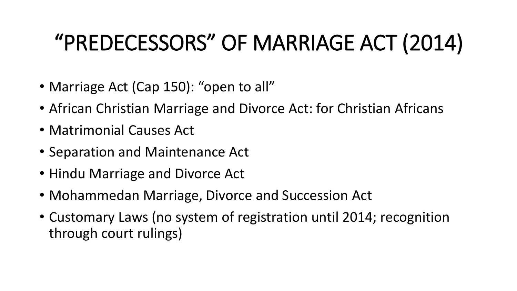## "PREDECESSORS" OF MARRIAGE ACT (2014)

- Marriage Act (Cap 150): "open to all"
- African Christian Marriage and Divorce Act: for Christian Africans
- Matrimonial Causes Act
- Separation and Maintenance Act
- Hindu Marriage and Divorce Act
- Mohammedan Marriage, Divorce and Succession Act
- Customary Laws (no system of registration until 2014; recognition through court rulings)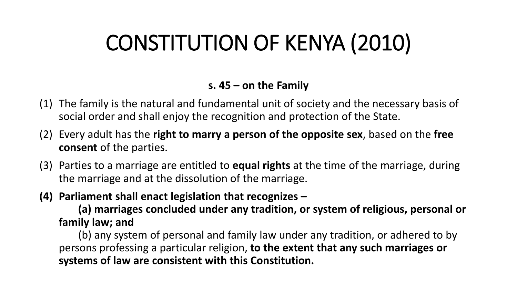## CONSTITUTION OF KENYA (2010)

#### **s. 45 – on the Family**

- (1) The family is the natural and fundamental unit of society and the necessary basis of social order and shall enjoy the recognition and protection of the State.
- (2) Every adult has the **right to marry a person of the opposite sex**, based on the **free consent** of the parties.
- (3) Parties to a marriage are entitled to **equal rights** at the time of the marriage, during the marriage and at the dissolution of the marriage.
- **(4) Parliament shall enact legislation that recognizes –**

**(a) marriages concluded under any tradition, or system of religious, personal or family law; and** 

(b) any system of personal and family law under any tradition, or adhered to by persons professing a particular religion, **to the extent that any such marriages or systems of law are consistent with this Constitution.**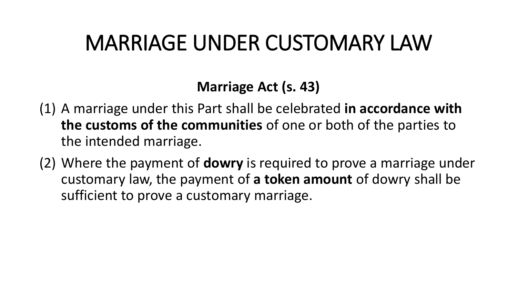#### MARRIAGE UNDER CUSTOMARY LAW

#### **Marriage Act (s. 43)**

- (1) A marriage under this Part shall be celebrated **in accordance with the customs of the communities** of one or both of the parties to the intended marriage.
- (2) Where the payment of **dowry** is required to prove a marriage under customary law, the payment of **a token amount** of dowry shall be sufficient to prove a customary marriage.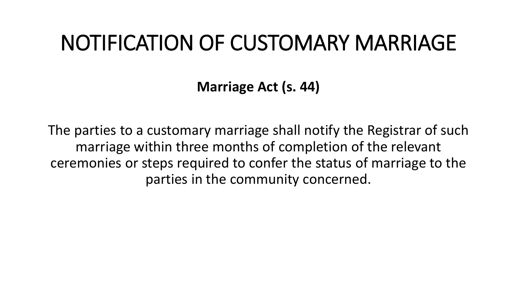#### NOTIFICATION OF CUSTOMARY MARRIAGE

**Marriage Act (s. 44)**

The parties to a customary marriage shall notify the Registrar of such marriage within three months of completion of the relevant ceremonies or steps required to confer the status of marriage to the parties in the community concerned.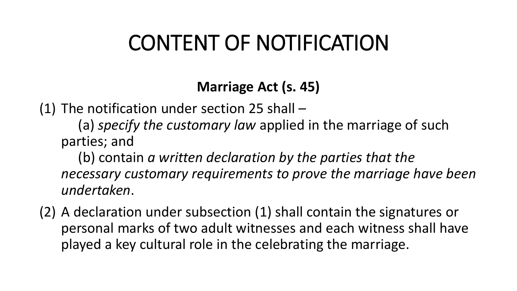#### CONTENT OF NOTIFICATION

#### **Marriage Act (s. 45)**

(1) The notification under section 25 shall –

(a) *specify the customary law* applied in the marriage of such parties; and

(b) contain *a written declaration by the parties that the necessary customary requirements to prove the marriage have been undertaken*.

(2) A declaration under subsection (1) shall contain the signatures or personal marks of two adult witnesses and each witness shall have played a key cultural role in the celebrating the marriage.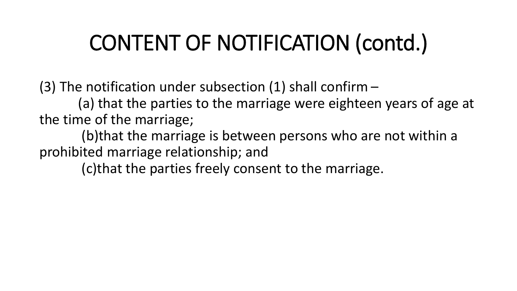## CONTENT OF NOTIFICATION (contd.)

(3) The notification under subsection (1) shall confirm  $-$ 

(a) that the parties to the marriage were eighteen years of age at the time of the marriage;

(b)that the marriage is between persons who are not within a prohibited marriage relationship; and

(c)that the parties freely consent to the marriage.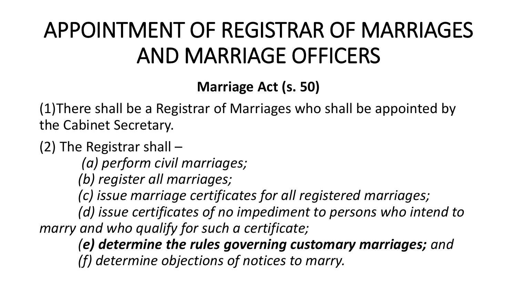## APPOINTMENT OF REGISTRAR OF MARRIAGES AND MARRIAGE OFFICERS

#### **Marriage Act (s. 50)**

(1)There shall be a Registrar of Marriages who shall be appointed by the Cabinet Secretary.

- (2) The Registrar shall
	- *(a) perform civil marriages;*
	- *(b) register all marriages;*
	- *(c) issue marriage certificates for all registered marriages;*

*(d) issue certificates of no impediment to persons who intend to marry and who qualify for such a certificate;* 

*(e) determine the rules governing customary marriages; and (f) determine objections of notices to marry.*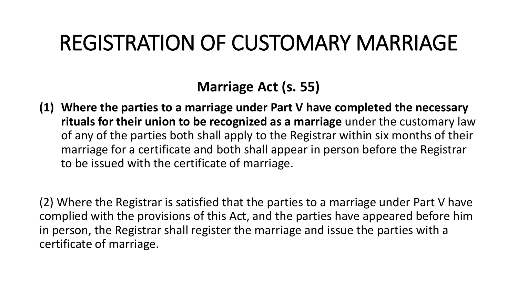#### REGISTRATION OF CUSTOMARY MARRIAGE

#### **Marriage Act (s. 55)**

**(1) Where the parties to a marriage under Part V have completed the necessary rituals for their union to be recognized as a marriage** under the customary law of any of the parties both shall apply to the Registrar within six months of their marriage for a certificate and both shall appear in person before the Registrar to be issued with the certificate of marriage.

(2) Where the Registrar is satisfied that the parties to a marriage under Part V have complied with the provisions of this Act, and the parties have appeared before him in person, the Registrar shall register the marriage and issue the parties with a certificate of marriage.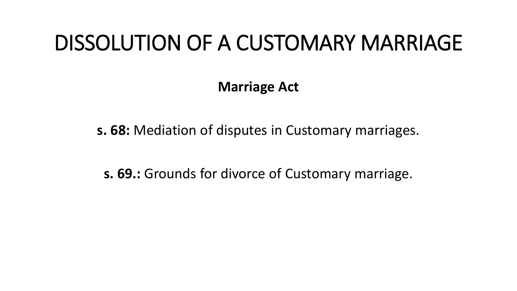#### DISSOLUTION OF A CUSTOMARY MARRIAGE

**Marriage Act**

**s. 68:** Mediation of disputes in Customary marriages.

**s. 69.:** Grounds for divorce of Customary marriage.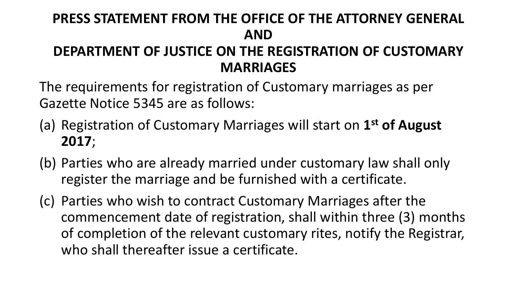#### **PRESS STATEMENT FROM THE OFFICE OF THE ATTORNEY GENERAL AND DEPARTMENT OF JUSTICE ON THE REGISTRATION OF CUSTOMARY MARRIAGES**

The requirements for registration of Customary marriages as per Gazette Notice 5345 are as follows:

- (a) Registration of Customary Marriages will start on **1 st of August 2017**;
- (b) Parties who are already married under customary law shall only register the marriage and be furnished with a certificate.
- (c) Parties who wish to contract Customary Marriages after the commencement date of registration, shall within three (3) months of completion of the relevant customary rites, notify the Registrar, who shall thereafter issue a certificate.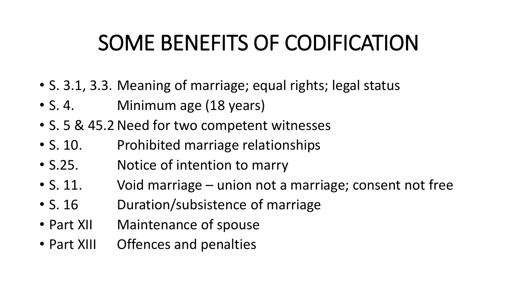## SOME BENEFITS OF CODIFICATION

- S. 3.1, 3.3. Meaning of marriage; equal rights; legal status
- S. 4. Minimum age (18 years)
- S. 5 & 45.2 Need for two competent witnesses
- S. 10. Prohibited marriage relationships
- S.25. Notice of intention to marry
- S. 11. Void marriage union not a marriage; consent not free
- S. 16 Duration/subsistence of marriage
- Part XII Maintenance of spouse
- Part XIII Offences and penalties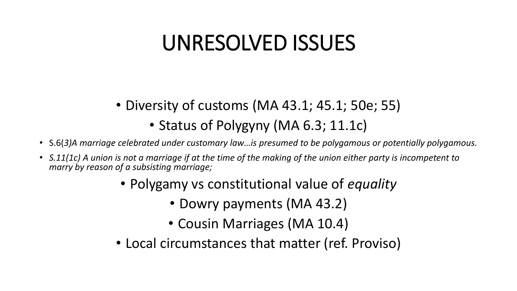#### UNRESOLVED ISSUES

- Diversity of customs (MA 43.1; 45.1; 50e; 55)
	- Status of Polygyny (MA 6.3; 11.1c)
- S.6(*3)A marriage celebrated under customary law…is presumed to be polygamous or potentially polygamous.*
- *S.11(1c) A union is not a marriage if at the time of the making of the union either party is incompetent to marry by reason of a subsisting marriage;* 
	- Polygamy vs constitutional value of *equality* 
		- Dowry payments (MA 43.2)
		- Cousin Marriages (MA 10.4)
	- Local circumstances that matter (ref. Proviso)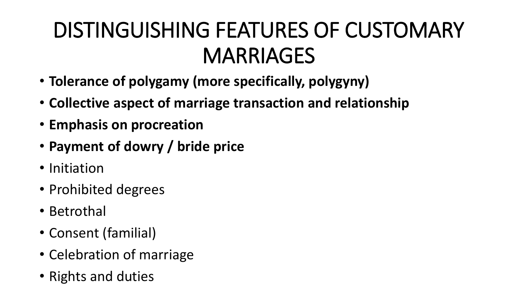## DISTINGUISHING FEATURES OF CUSTOMARY MARRIAGES

- **Tolerance of polygamy (more specifically, polygyny)**
- **Collective aspect of marriage transaction and relationship**
- **Emphasis on procreation**
- **Payment of dowry / bride price**
- Initiation
- Prohibited degrees
- Betrothal
- Consent (familial)
- Celebration of marriage
- Rights and duties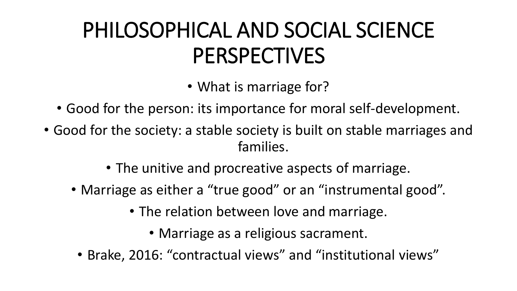## PHILOSOPHICAL AND SOCIAL SCIENCE PERSPECTIVES

• What is marriage for?

- Good for the person: its importance for moral self-development.
- Good for the society: a stable society is built on stable marriages and families.
	- The unitive and procreative aspects of marriage.
	- Marriage as either a "true good" or an "instrumental good".
		- The relation between love and marriage.
			- Marriage as a religious sacrament.
		- Brake, 2016: "contractual views" and "institutional views"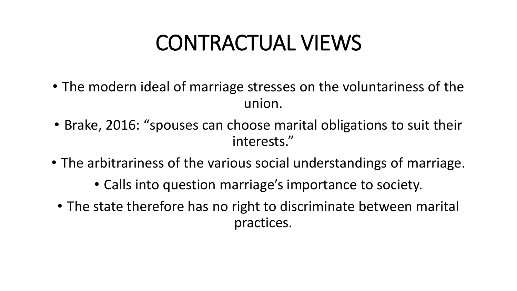### CONTRACTUAL VIEWS

- The modern ideal of marriage stresses on the voluntariness of the union.
- Brake, 2016: "spouses can choose marital obligations to suit their interests."
- The arbitrariness of the various social understandings of marriage.
	- Calls into question marriage's importance to society.
	- The state therefore has no right to discriminate between marital practices.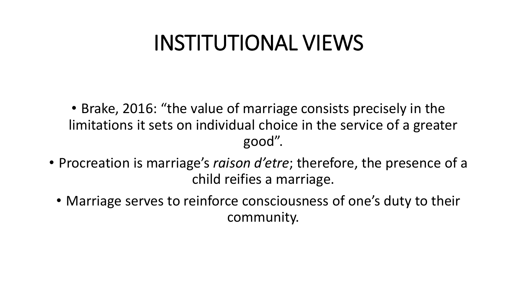#### INSTITUTIONAL VIEWS

• Brake, 2016: "the value of marriage consists precisely in the limitations it sets on individual choice in the service of a greater good".

- Procreation is marriage's *raison d'etre*; therefore, the presence of a child reifies a marriage.
	- Marriage serves to reinforce consciousness of one's duty to their community.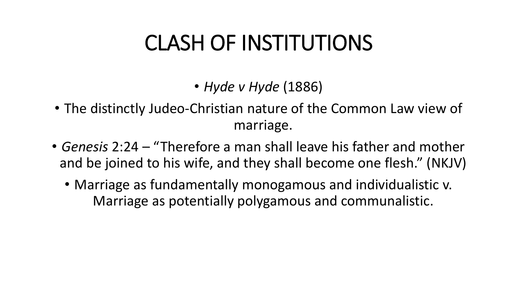### CLASH OF INSTITUTIONS

- *Hyde v Hyde* (1886)
- The distinctly Judeo-Christian nature of the Common Law view of marriage.
- *Genesis* 2:24 "Therefore a man shall leave his father and mother and be joined to his wife, and they shall become one flesh." (NKJV)
	- Marriage as fundamentally monogamous and individualistic v. Marriage as potentially polygamous and communalistic.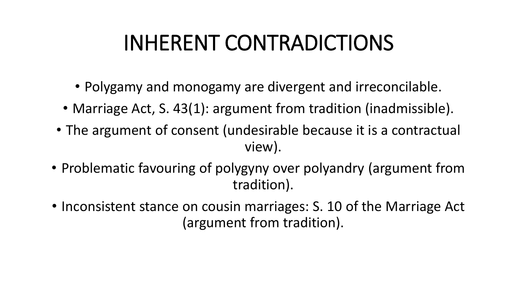### INHERENT CONTRADICTIONS

- Polygamy and monogamy are divergent and irreconcilable.
- Marriage Act, S. 43(1): argument from tradition (inadmissible).
- The argument of consent (undesirable because it is a contractual view).
- Problematic favouring of polygyny over polyandry (argument from tradition).
- Inconsistent stance on cousin marriages: S. 10 of the Marriage Act (argument from tradition).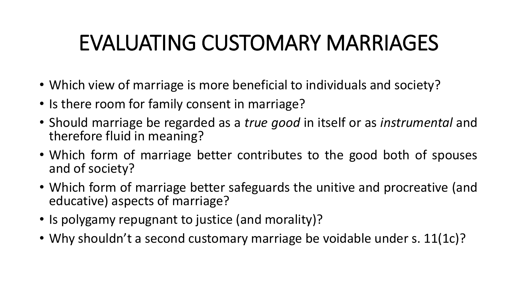## EVALUATING CUSTOMARY MARRIAGES

- Which view of marriage is more beneficial to individuals and society?
- Is there room for family consent in marriage?
- Should marriage be regarded as a *true good* in itself or as *instrumental* and therefore fluid in meaning?
- Which form of marriage better contributes to the good both of spouses and of society?
- Which form of marriage better safeguards the unitive and procreative (and educative) aspects of marriage?
- Is polygamy repugnant to justice (and morality)?
- Why shouldn't a second customary marriage be voidable under s. 11(1c)?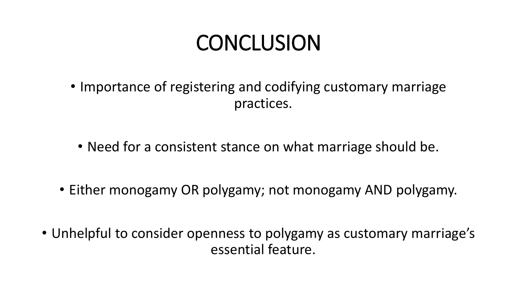## **CONCLUSION**

- Importance of registering and codifying customary marriage practices.
	- Need for a consistent stance on what marriage should be.
- Either monogamy OR polygamy; not monogamy AND polygamy.
- Unhelpful to consider openness to polygamy as customary marriage's essential feature.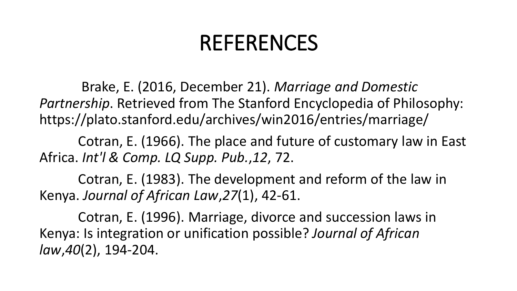#### REFERENCES

Brake, E. (2016, December 21). *Marriage and Domestic Partnership*. Retrieved from The Stanford Encyclopedia of Philosophy: https://plato.stanford.edu/archives/win2016/entries/marriage/

Cotran, E. (1966). The place and future of customary law in East Africa. *Int'l & Comp. LQ Supp. Pub.*,*12*, 72.

Cotran, E. (1983). The development and reform of the law in Kenya. *Journal of African Law*,*27*(1), 42-61.

Cotran, E. (1996). Marriage, divorce and succession laws in Kenya: Is integration or unification possible? *Journal of African law*,*40*(2), 194-204.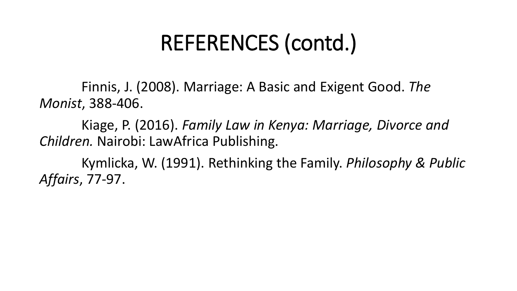### REFERENCES (contd.)

Finnis, J. (2008). Marriage: A Basic and Exigent Good. *The Monist*, 388-406.

Kiage, P. (2016). *Family Law in Kenya: Marriage, Divorce and Children.* Nairobi: LawAfrica Publishing.

Kymlicka, W. (1991). Rethinking the Family. *Philosophy & Public Affairs*, 77-97.